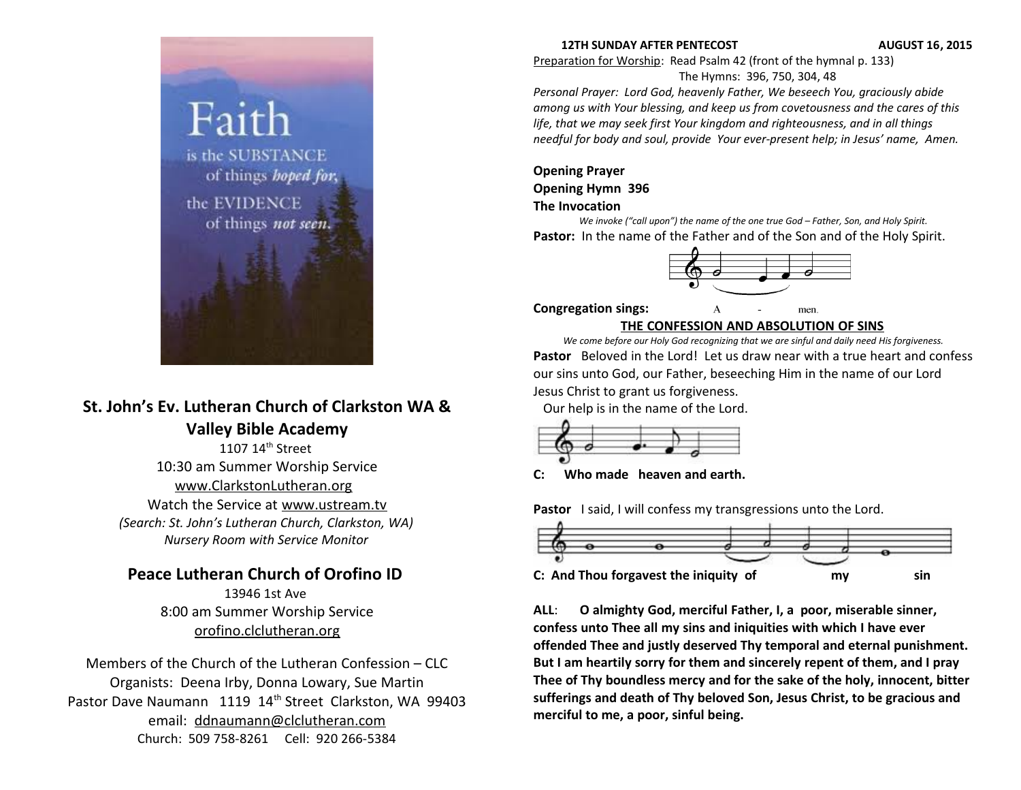

# **St. John's Ev. Lutheran Church of Clarkston WA & Valley Bible Academy**

1107 14<sup>th</sup> Street 10:30 am Summer Worship Service [www.ClarkstonLutheran.org](http://www.ClarkstonLutheran.org/)  Watch the Service at [www.ustream.tv](http://www.ustream.tv/) *(Search: St. John's Lutheran Church, Clarkston, WA) Nursery Room with Service Monitor*

# **Peace Lutheran Church of Orofino ID**

13946 1st Ave 8:00 am Summer Worship Service [orofino.clclutheran.org](http://www.orofinolutheran.org/)

Members of the Church of the Lutheran Confession – CLC Organists: Deena Irby, Donna Lowary, Sue Martin Pastor Dave Naumann 1119 14<sup>th</sup> Street Clarkston, WA 99403 email: [ddnaumann@clclutheran.com](mailto:ddnaumann@clclutheran.com) Church: 509 758-8261 Cell: 920 266-5384

#### **12TH SUNDAY AFTER PENTECOST AUGUST 16, 2015**

Preparation for Worship: Read Psalm 42 (front of the hymnal p. 133) The Hymns: 396, 750, 304, 48

*Personal Prayer: Lord God, heavenly Father, We beseech You, graciously abide among us with Your blessing, and keep us from covetousness and the cares of this life, that we may seek first Your kingdom and righteousness, and in all things needful for body and soul, provide Your ever-present help; in Jesus' name, Amen.* 

#### **Opening Prayer Opening Hymn 396 The Invocation**

*We invoke ("call upon") the name of the one true God – Father, Son, and Holy Spirit.* Pastor: In the name of the Father and of the Son and of the Holy Spirit.



**Congregation sings:** 

men

#### **THE CONFESSION AND ABSOLUTION OF SINS**

*We come before our Holy God recognizing that we are sinful and daily need His forgiveness.* **Pastor** Beloved in the Lord! Let us draw near with a true heart and confess our sins unto God, our Father, beseeching Him in the name of our Lord Jesus Christ to grant us forgiveness.

Our help is in the name of the Lord.



**C: Who made heaven and earth.**

Pastor I said, I will confess my transgressions unto the Lord.



**ALL**: **O almighty God, merciful Father, I, a poor, miserable sinner, confess unto Thee all my sins and iniquities with which I have ever offended Thee and justly deserved Thy temporal and eternal punishment. But I am heartily sorry for them and sincerely repent of them, and I pray Thee of Thy boundless mercy and for the sake of the holy, innocent, bitter sufferings and death of Thy beloved Son, Jesus Christ, to be gracious and merciful to me, a poor, sinful being.**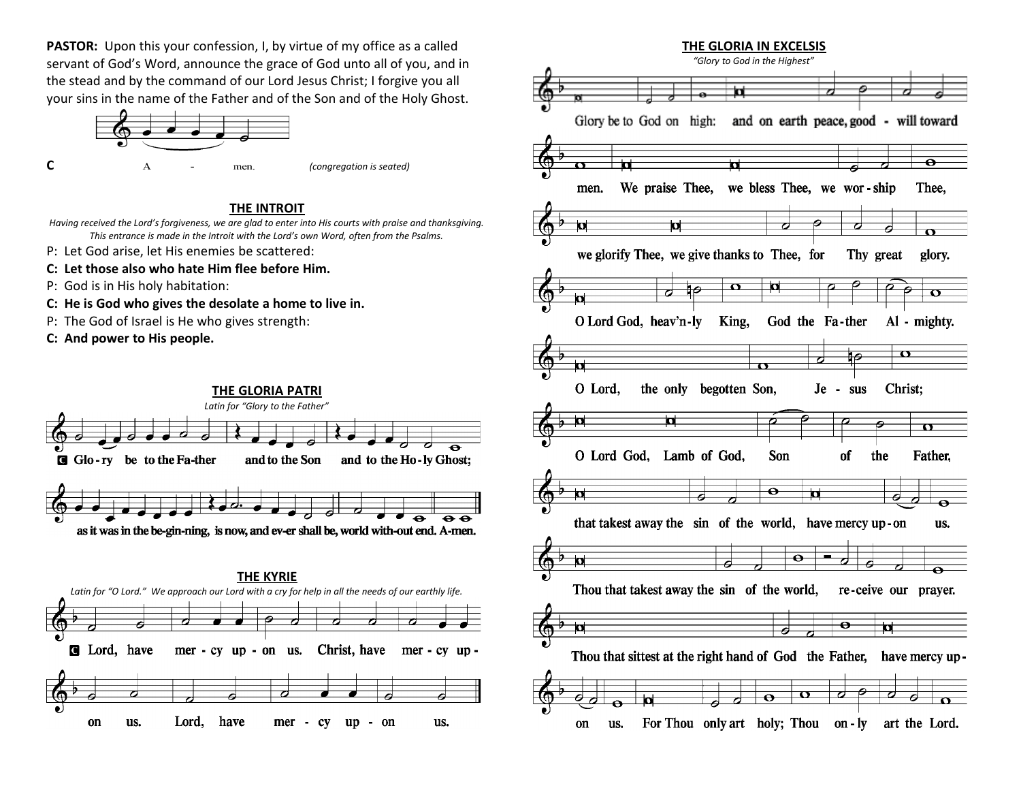**PASTOR:** Upon this your confession, I, by virtue of my office as a called servant of God's Word, announce the grace of God unto all of you, and in the stead and by the command of our Lord Jesus Christ; I forgive you all your sins in the name of the Father and of the Son and of the Holy Ghost.



#### **THE INTROIT**

*Having received the Lord's forgiveness, we are glad to enter into His courts with praise and thanksgiving. This entrance is made in the Introit with the Lord's own Word, often from the Psalms.*

- P: Let God arise, let His enemies be scattered:
- **C: Let those also who hate Him flee before Him.**
- P: God is in His holy habitation:
- **C: He is God who gives the desolate a home to live in.**
- P: The God of Israel is He who gives strength:
- **C: And power to His people.**



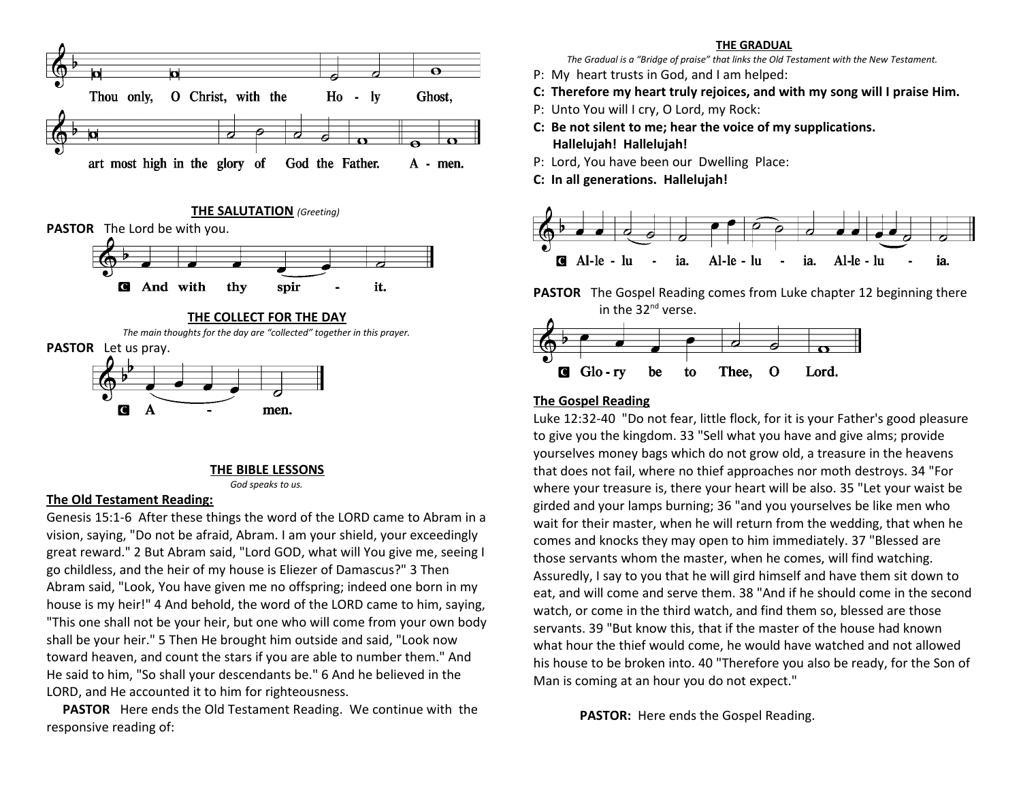

**THE SALUTATION** *(Greeting)* 





**PASTOR** Let us pray.



#### **THE BIBLE LESSONS**

*God speaks to us.*

#### **The Old Testament Reading:**

Genesis 15:1-6 After these things the word of the LORD came to Abram in a vision, saying, "Do not be afraid, Abram. I am your shield, your exceedingly great reward." 2 But Abram said, "Lord GOD, what will You give me, seeing I go childless, and the heir of my house is Eliezer of Damascus?" 3 Then Abram said, "Look, You have given me no offspring; indeed one born in my house is my heir!" 4 And behold, the word of the LORD came to him, saying, "This one shall not be your heir, but one who will come from your own body shall be your heir." 5 Then He brought him outside and said, "Look now toward heaven, and count the stars if you are able to number them." And He said to him, "So shall your descendants be." 6 And he believed in the LORD, and He accounted it to him for righteousness.

 **PASTOR** Here ends the Old Testament Reading. We continue with the responsive reading of:

#### **THE GRADUAL**

*The Gradual is a "Bridge of praise" that links the Old Testament with the New Testament.* 

- P: My heart trusts in God, and I am helped:
- **C: Therefore my heart truly rejoices, and with my song will I praise Him.**
- P: Unto You will I cry, O Lord, my Rock:
- **C: Be not silent to me; hear the voice of my supplications. Hallelujah! Hallelujah!**
- P: Lord, You have been our Dwelling Place:
- **C: In all generations. Hallelujah!**



**PASTOR** The Gospel Reading comes from Luke chapter 12 beginning there in the 32<sup>nd</sup> verse.



#### **The Gospel Reading**

Luke 12:32-40 "Do not fear, little flock, for it is your Father's good pleasure to give you the kingdom. 33 "Sell what you have and give alms; provide yourselves money bags which do not grow old, a treasure in the heavens that does not fail, where no thief approaches nor moth destroys. 34 "For where your treasure is, there your heart will be also. 35 "Let your waist be girded and your lamps burning; 36 "and you yourselves be like men who wait for their master, when he will return from the wedding, that when he comes and knocks they may open to him immediately. 37 "Blessed are those servants whom the master, when he comes, will find watching. Assuredly, I say to you that he will gird himself and have them sit down to eat, and will come and serve them. 38 "And if he should come in the second watch, or come in the third watch, and find them so, blessed are those servants. 39 "But know this, that if the master of the house had known what hour the thief would come, he would have watched and not allowed his house to be broken into. 40 "Therefore you also be ready, for the Son of Man is coming at an hour you do not expect."

**PASTOR:** Here ends the Gospel Reading.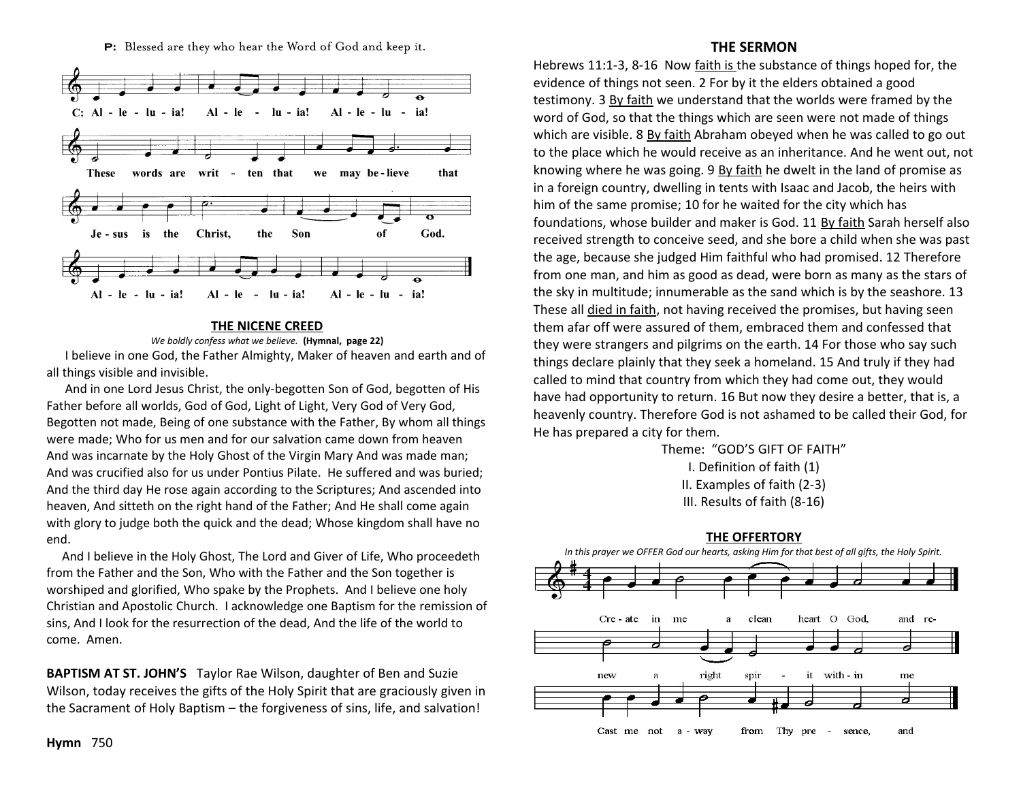P: Blessed are they who hear the Word of God and keep it.



#### **THE NICENE CREED**

*We boldly confess what we believe.* **(Hymnal, page 22)** I believe in one God, the Father Almighty, Maker of heaven and earth and of all things visible and invisible.

 And in one Lord Jesus Christ, the only-begotten Son of God, begotten of His Father before all worlds, God of God, Light of Light, Very God of Very God, Begotten not made, Being of one substance with the Father, By whom all things were made; Who for us men and for our salvation came down from heaven And was incarnate by the Holy Ghost of the Virgin Mary And was made man; And was crucified also for us under Pontius Pilate. He suffered and was buried; And the third day He rose again according to the Scriptures; And ascended into heaven, And sitteth on the right hand of the Father; And He shall come again with glory to judge both the quick and the dead; Whose kingdom shall have no end.

 And I believe in the Holy Ghost, The Lord and Giver of Life, Who proceedeth from the Father and the Son, Who with the Father and the Son together is worshiped and glorified, Who spake by the Prophets. And I believe one holy Christian and Apostolic Church. I acknowledge one Baptism for the remission of sins, And I look for the resurrection of the dead, And the life of the world to come. Amen.

**BAPTISM AT ST. JOHN'S** Taylor Rae Wilson, daughter of Ben and Suzie Wilson, today receives the gifts of the Holy Spirit that are graciously given in the Sacrament of Holy Baptism – the forgiveness of sins, life, and salvation!

#### **THE SERMON**

Hebrews 11:1-3, 8-16 Now faith is the substance of things hoped for, the evidence of things not seen. 2 For by it the elders obtained a good testimony. 3 By faith we understand that the worlds were framed by the word of God, so that the things which are seen were not made of things which are visible. 8 By faith Abraham obeyed when he was called to go out to the place which he would receive as an inheritance. And he went out, not knowing where he was going. 9 By faith he dwelt in the land of promise as in a foreign country, dwelling in tents with Isaac and Jacob, the heirs with him of the same promise; 10 for he waited for the city which has foundations, whose builder and maker is God. 11 By faith Sarah herself also received strength to conceive seed, and she bore a child when she was past the age, because she judged Him faithful who had promised. 12 Therefore from one man, and him as good as dead, were born as many as the stars of the sky in multitude; innumerable as the sand which is by the seashore. 13 These all died in faith, not having received the promises, but having seen them afar off were assured of them, embraced them and confessed that they were strangers and pilgrims on the earth. 14 For those who say such things declare plainly that they seek a homeland. 15 And truly if they had called to mind that country from which they had come out, they would have had opportunity to return. 16 But now they desire a better, that is, a heavenly country. Therefore God is not ashamed to be called their God, for He has prepared a city for them.

> Theme: "GOD'S GIFT OF FAITH" I. Definition of faith (1) II. Examples of faith (2-3) III. Results of faith (8-16)

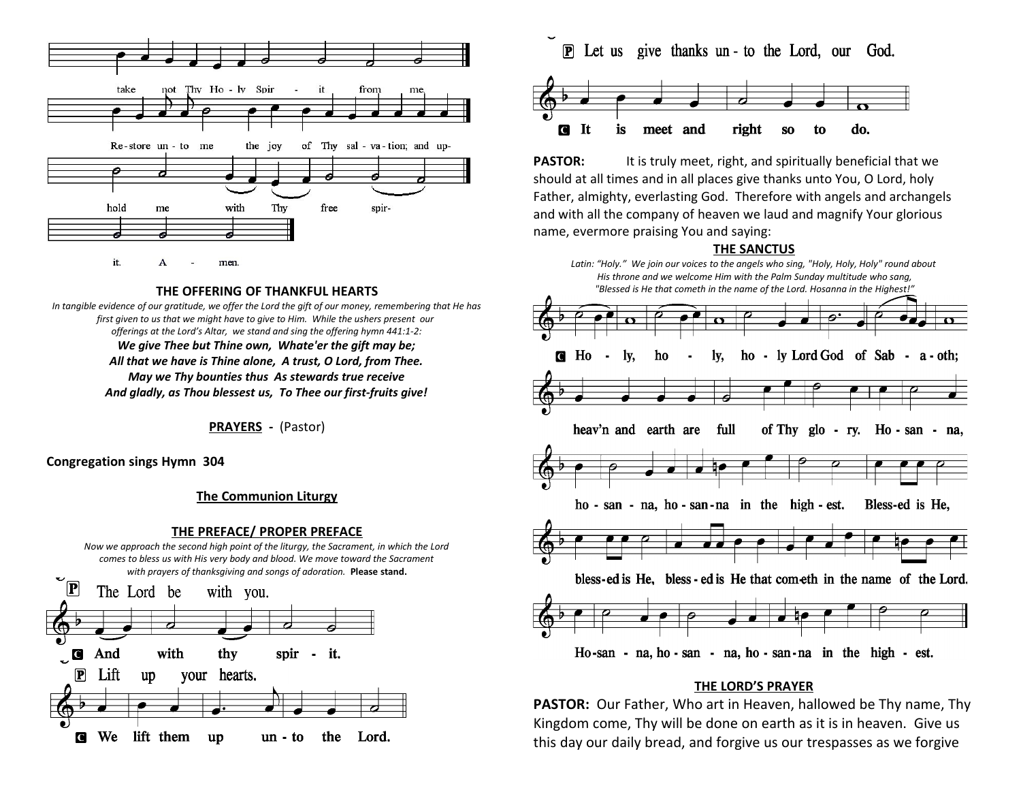

**THE OFFERING OF THANKFUL HEARTS**

*In tangible evidence of our gratitude, we offer the Lord the gift of our money, remembering that He has first given to us that we might have to give to Him. While the ushers present our offerings at the Lord's Altar, we stand and sing the offering hymn 441:1-2: We give Thee but Thine own, Whate'er the gift may be; All that we have is Thine alone, A trust, O Lord, from Thee. May we Thy bounties thus As stewards true receive And gladly, as Thou blessest us, To Thee our first-fruits give!*

**PRAYERS -** (Pastor)

**Congregation sings Hymn 304**

#### **The Communion Liturgy**

#### **THE PREFACE/ PROPER PREFACE**

*Now we approach the second high point of the liturgy, the Sacrament, in which the Lord comes to bless us with His very body and blood. We move toward the Sacrament with prayers of thanksgiving and songs of adoration.* **Please stand.**



**P** Let us give thanks un - to the Lord, our God.



**PASTOR:** It is truly meet, right, and spiritually beneficial that we should at all times and in all places give thanks unto You, O Lord, holy Father, almighty, everlasting God. Therefore with angels and archangels and with all the company of heaven we laud and magnify Your glorious name, evermore praising You and saying:

#### **THE SANCTUS**



#### **THE LORD'S PRAYER**

**PASTOR:** Our Father, Who art in Heaven, hallowed be Thy name, Thy Kingdom come, Thy will be done on earth as it is in heaven. Give us this day our daily bread, and forgive us our trespasses as we forgive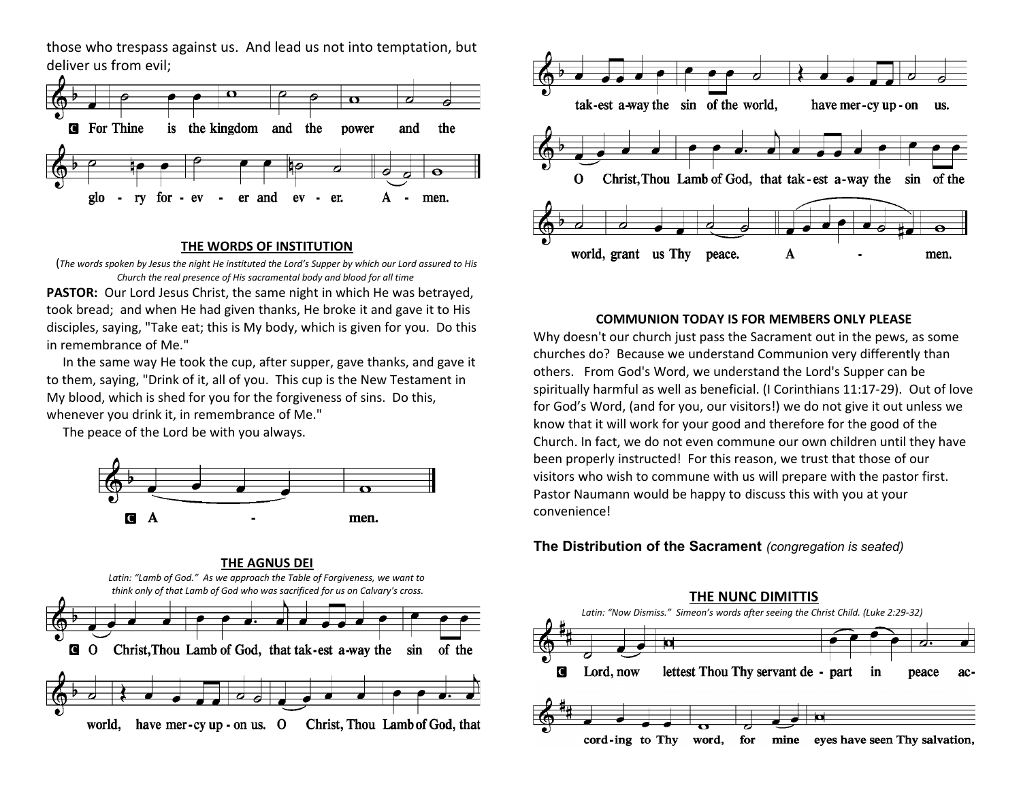those who trespass against us. And lead us not into temptation, but deliver us from evil;



#### **THE WORDS OF INSTITUTION**

(*The words spoken by Jesus the night He instituted the Lord's Supper by which our Lord assured to His Church the real presence of His sacramental body and blood for all time* 

**PASTOR:** Our Lord Jesus Christ, the same night in which He was betrayed, took bread; and when He had given thanks, He broke it and gave it to His disciples, saying, "Take eat; this is My body, which is given for you. Do this in remembrance of Me."

 In the same way He took the cup, after supper, gave thanks, and gave it to them, saying, "Drink of it, all of you. This cup is the New Testament in My blood, which is shed for you for the forgiveness of sins. Do this, whenever you drink it, in remembrance of Me."

The peace of the Lord be with you always.







#### **COMMUNION TODAY IS FOR MEMBERS ONLY PLEASE**

Why doesn't our church just pass the Sacrament out in the pews, as some churches do? Because we understand Communion very differently than others. From God's Word, we understand the Lord's Supper can be spiritually harmful as well as beneficial. (I Corinthians 11:17-29). Out of love for God's Word, (and for you, our visitors!) we do not give it out unless we know that it will work for your good and therefore for the good of the Church. In fact, we do not even commune our own children until they have been properly instructed! For this reason, we trust that those of our visitors who wish to commune with us will prepare with the pastor first. Pastor Naumann would be happy to discuss this with you at your convenience!

#### **The Distribution of the Sacrament** *(congregation is seated)*

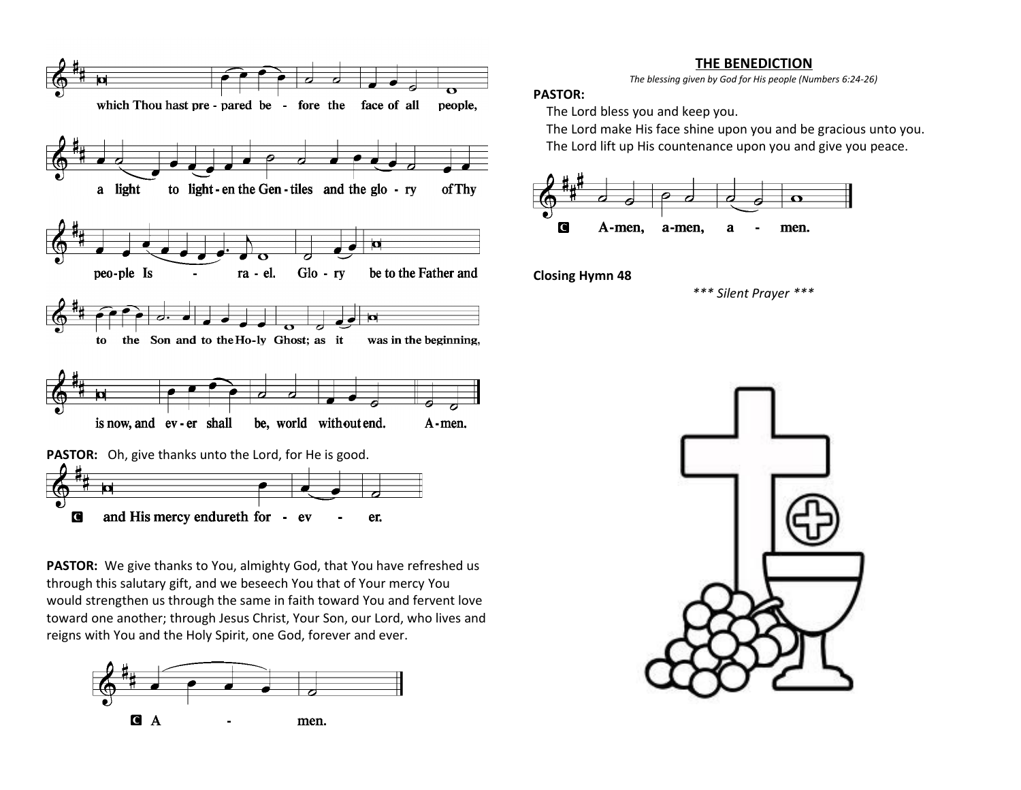#### **THE BENEDICTION**

*The blessing given by God for His people (Numbers 6:24-26)*

#### **PASTOR:**

The Lord bless you and keep you.

 The Lord make His face shine upon you and be gracious unto you. The Lord lift up His countenance upon you and give you peace.



**Closing Hymn 48**

*\*\*\* Silent Prayer \*\*\**





**PASTOR:** We give thanks to You, almighty God, that You have refreshed us through this salutary gift, and we beseech You that of Your mercy You would strengthen us through the same in faith toward You and fervent love toward one another; through Jesus Christ, Your Son, our Lord, who lives and reigns with You and the Holy Spirit, one God, forever and ever.

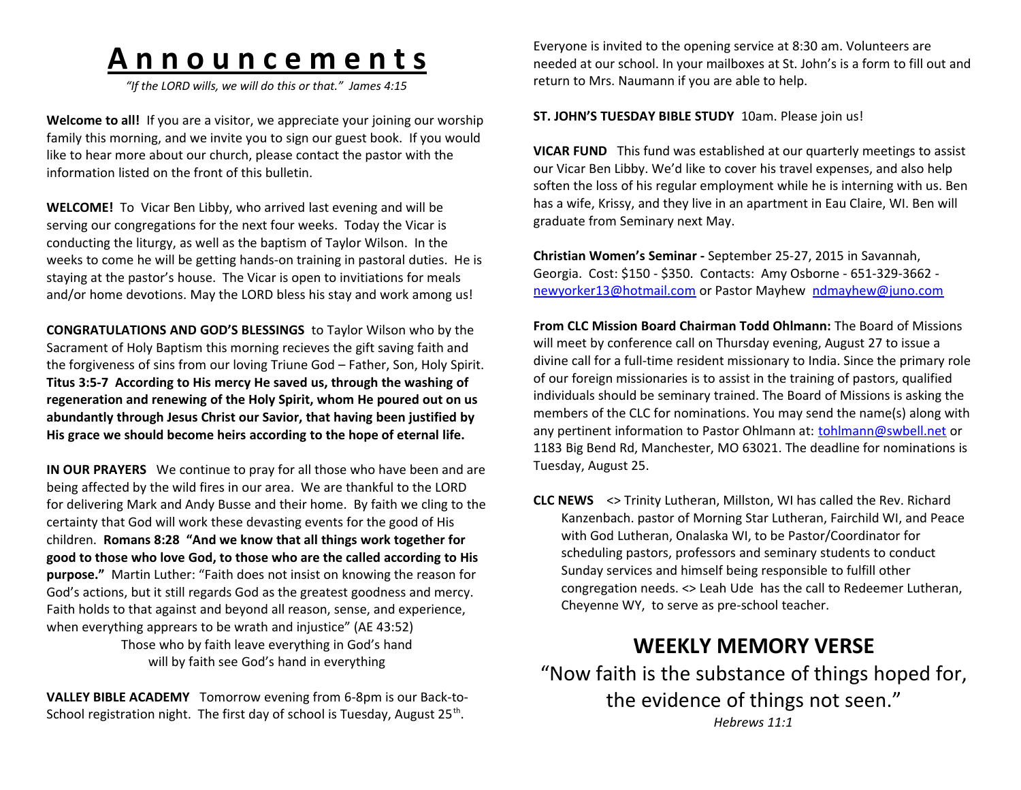# **A n n o u n c e m e n t s**

*"If the LORD wills, we will do this or that." James 4:15*

**Welcome to all!** If you are a visitor, we appreciate your joining our worship family this morning, and we invite you to sign our guest book. If you would like to hear more about our church, please contact the pastor with the information listed on the front of this bulletin.

**WELCOME!** To Vicar Ben Libby, who arrived last evening and will be serving our congregations for the next four weeks. Today the Vicar is conducting the liturgy, as well as the baptism of Taylor Wilson. In the weeks to come he will be getting hands-on training in pastoral duties. He is staying at the pastor's house. The Vicar is open to invitiations for meals and/or home devotions. May the LORD bless his stay and work among us!

**CONGRATULATIONS AND GOD'S BLESSINGS** to Taylor Wilson who by the Sacrament of Holy Baptism this morning recieves the gift saving faith and the forgiveness of sins from our loving Triune God – Father, Son, Holy Spirit. **Titus 3:5-7 According to His mercy He saved us, through the washing of regeneration and renewing of the Holy Spirit, whom He poured out on us abundantly through Jesus Christ our Savior, that having been justified by His grace we should become heirs according to the hope of eternal life.** 

**IN OUR PRAYERS** We continue to pray for all those who have been and are being affected by the wild fires in our area. We are thankful to the LORD for delivering Mark and Andy Busse and their home. By faith we cling to the certainty that God will work these devasting events for the good of His children. **Romans 8:28 "And we know that all things work together for good to those who love God, to those who are the called according to His purpose."** Martin Luther: "Faith does not insist on knowing the reason for God's actions, but it still regards God as the greatest goodness and mercy. Faith holds to that against and beyond all reason, sense, and experience, when everything apprears to be wrath and injustice" (AE 43:52) Those who by faith leave everything in God's hand will by faith see God's hand in everything

**VALLEY BIBLE ACADEMY** Tomorrow evening from 6-8pm is our Back-to-School registration night. The first day of school is Tuesday, August 25<sup>th</sup>.

Everyone is invited to the opening service at 8:30 am. Volunteers are needed at our school. In your mailboxes at St. John's is a form to fill out and return to Mrs. Naumann if you are able to help.

#### **ST. JOHN'S TUESDAY BIBLE STUDY** 10am. Please join us!

**VICAR FUND** This fund was established at our quarterly meetings to assist our Vicar Ben Libby. We'd like to cover his travel expenses, and also help soften the loss of his regular employment while he is interning with us. Ben has a wife, Krissy, and they live in an apartment in Eau Claire, WI. Ben will graduate from Seminary next May.

**Christian Women's Seminar -** September 25-27, 2015 in Savannah, Georgia. Cost: \$150 - \$350. Contacts: Amy Osborne - 651-329-3662 [newyorker13@hotmail.com](mailto:newyorker13@hotmail.com) or Pastor Mayhew [ndmayhew@juno.com](mailto:ndmayhew@juno.com)

**From CLC Mission Board Chairman Todd Ohlmann:** The Board of Missions will meet by conference call on Thursday evening, August 27 to issue a divine call for a full-time resident missionary to India. Since the primary role of our foreign missionaries is to assist in the training of pastors, qualified individuals should be seminary trained. The Board of Missions is asking the members of the CLC for nominations. You may send the name(s) along with any pertinent information to Pastor Ohlmann at: [tohlmann@swbell.net](mailto:tohlmann@swbell.net) or 1183 Big Bend Rd, Manchester, MO 63021. The deadline for nominations is Tuesday, August 25.

**CLC NEWS** <> Trinity Lutheran, Millston, WI has called the Rev. Richard Kanzenbach. pastor of Morning Star Lutheran, Fairchild WI, and Peace with God Lutheran, Onalaska WI, to be Pastor/Coordinator for scheduling pastors, professors and seminary students to conduct Sunday services and himself being responsible to fulfill other congregation needs. <> Leah Ude has the call to Redeemer Lutheran, Cheyenne WY, to serve as pre-school teacher.

# **WEEKLY MEMORY VERSE**

"Now faith is the substance of things hoped for, the evidence of things not seen." *Hebrews 11:1*